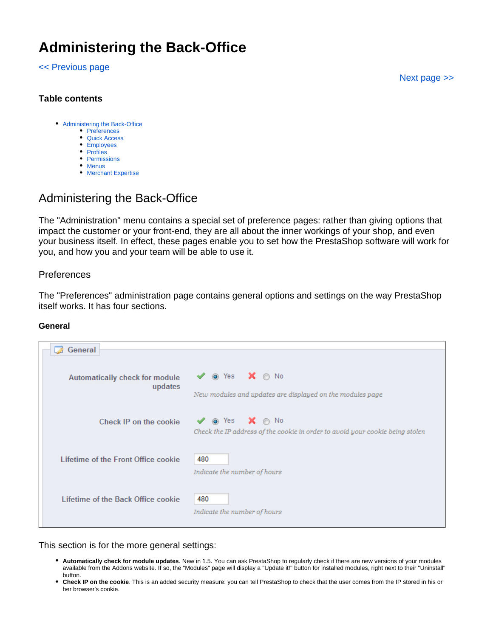# **Administering the Back-Office**

#### [<< Previous page](https://doc.prestashop.com/display/PS15/Understanding+the+Advanced+Parameters)

[Next page >>](https://doc.prestashop.com/display/PS15/Understanding+Statistics)

# **Table contents**

- [Administering the Back-Office](#page-0-0)
	- [Preferences](#page-0-1)
	- [Quick Access](#page-2-0)
	- [Employees](#page-3-0)
	- [Profiles](#page-5-0)
	- [Permissions](#page-6-0)
	- [Menus](#page-7-0)
	- [Merchant Expertise](#page-11-0)

# <span id="page-0-0"></span>Administering the Back-Office

The "Administration" menu contains a special set of preference pages: rather than giving options that impact the customer or your front-end, they are all about the inner workings of your shop, and even your business itself. In effect, these pages enable you to set how the PrestaShop software will work for you, and how you and your team will be able to use it.

# <span id="page-0-1"></span>Preferences

The "Preferences" administration page contains general options and settings on the way PrestaShop itself works. It has four sections.

#### **General**

| General                                   |                                                                                                                                 |
|-------------------------------------------|---------------------------------------------------------------------------------------------------------------------------------|
| Automatically check for module<br>updates | $\blacktriangledown$ <b>O</b> Yes $\blacktriangledown$ <b>O</b> No<br>New modules and updates are displayed on the modules page |
| Check IP on the cookie                    | $\vee$ $\circ$ Yes $\mathsf{X}$ $\circ$ No<br>Check the IP address of the cookie in order to avoid your cookie being stolen     |
| Lifetime of the Front Office cookie       | 480<br>Indicate the number of hours                                                                                             |
| Lifetime of the Back Office cookie        | 480<br>Indicate the number of hours                                                                                             |

This section is for the more general settings:

- **Automatically check for module updates**. New in 1.5. You can ask PrestaShop to regularly check if there are new versions of your modules available from the Addons website. If so, the "Modules" page will display a "Update it!" button for installed modules, right next to their "Uninstall" button.
- **Check IP on the cookie**. This is an added security measure: you can tell PrestaShop to check that the user comes from the IP stored in his or her browser's cookie.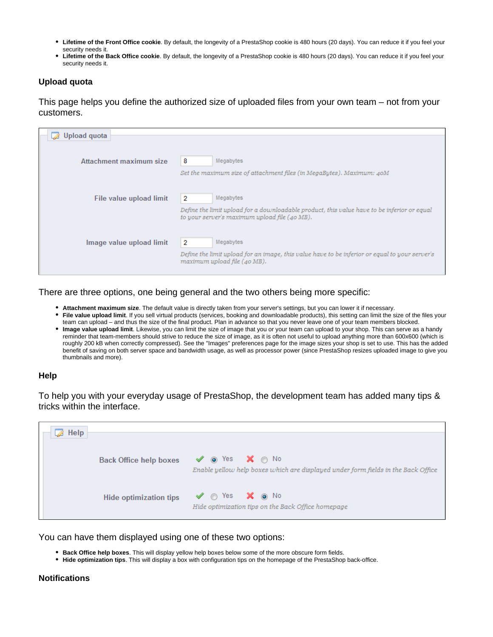- **Lifetime of the Front Office cookie**. By default, the longevity of a PrestaShop cookie is 480 hours (20 days). You can reduce it if you feel your security needs it.
- **Lifetime of the Back Office cookie**. By default, the longevity of a PrestaShop cookie is 480 hours (20 days). You can reduce it if you feel your security needs it.

## **Upload quota**

This page helps you define the authorized size of uploaded files from your own team – not from your customers.

| Upload quota             |                                                                                                                                              |
|--------------------------|----------------------------------------------------------------------------------------------------------------------------------------------|
|                          |                                                                                                                                              |
|                          |                                                                                                                                              |
| Attachment maximum size  | 8<br>Megabytes                                                                                                                               |
|                          | Set the maximum size of attachment files (in MegaBytes). Maximum: 40M                                                                        |
|                          |                                                                                                                                              |
| File value upload limit  | Megabytes<br>2                                                                                                                               |
|                          | Define the limit upload for a downloadable product, this value have to be inferior or equal<br>to your server's maximum upload file (40 MB). |
|                          |                                                                                                                                              |
| Image value upload limit | Megabytes<br>$\overline{2}$                                                                                                                  |
|                          | Define the limit upload for an image, this value have to be inferior or equal to your server's<br>maximum upload file (40 MB).               |
|                          |                                                                                                                                              |

There are three options, one being general and the two others being more specific:

- **Attachment maximum size**. The default value is directly taken from your server's settings, but you can lower it if necessary.
- **File value upload limit**. If you sell virtual products (services, booking and downloadable products), this setting can limit the size of the files your team can upload – and thus the size of the final product. Plan in advance so that you never leave one of your team members blocked.
- **Image value upload limit**. Likewise, you can limit the size of image that you or your team can upload to your shop. This can serve as a handy reminder that team-members should strive to reduce the size of image, as it is often not useful to upload anything more than 600x600 (which is roughly 200 kB when correctly compressed). See the "Images" preferences page for the image sizes your shop is set to use. This has the added benefit of saving on both server space and bandwidth usage, as well as processor power (since PrestaShop resizes uploaded image to give you thumbnails and more).

#### **Help**

To help you with your everyday usage of PrestaShop, the development team has added many tips & tricks within the interface.

| Help |                               |                                                                                                                                 |
|------|-------------------------------|---------------------------------------------------------------------------------------------------------------------------------|
|      |                               |                                                                                                                                 |
|      | <b>Back Office help boxes</b> | $\vee$ $\circ$ Yes $\mathsf{X}$ $\circ$ No<br>Enable yellow help boxes which are displayed under form fields in the Back Office |
|      | <b>Hide optimization tips</b> | $\vee$ o Yes $\mathsf{X}$ o No<br>Hide optimization tips on the Back Office homepage                                            |

You can have them displayed using one of these two options:

- **Back Office help boxes**. This will display yellow help boxes below some of the more obscure form fields.
- **Hide optimization tips**. This will display a box with configuration tips on the homepage of the PrestaShop back-office.

#### **Notifications**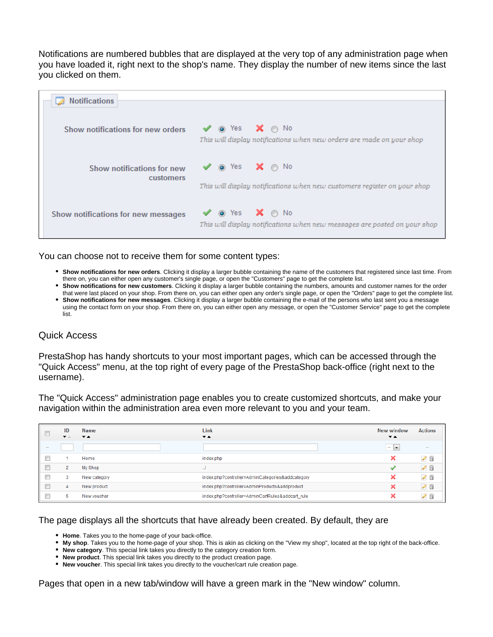Notifications are numbered bubbles that are displayed at the very top of any administration page when you have loaded it, right next to the shop's name. They display the number of new items since the last you clicked on them.

| Notifications                           |                                                                                                                                          |
|-----------------------------------------|------------------------------------------------------------------------------------------------------------------------------------------|
|                                         |                                                                                                                                          |
| Show notifications for new orders       | $\vee$ $\circ$ Yes $\mathsf{X}$ $\circ$ No<br>This will display notifications when new orders are made on your shop                      |
| Show notifications for new<br>customers | $\mathbf{X} \odot \mathbf{N}$<br>$\sqrt{\phantom{a}}$ or Yes<br>This will display notifications when new customers register on your shop |
| Show notifications for new messages     | $\mathsf{X}$ $\circ$ No<br>$\vee$ $\bullet$ Yes<br>This will display notifications when new messages are posted on your shop             |

You can choose not to receive them for some content types:

- **Show notifications for new orders**. Clicking it display a larger bubble containing the name of the customers that registered since last time. From there on, you can either open any customer's single page, or open the "Customers" page to get the complete list.
- **Show notifications for new customers**. Clicking it display a larger bubble containing the numbers, amounts and customer names for the order that were last placed on your shop. From there on, you can either open any order's single page, or open the "Orders" page to get the complete list.
- **Show notifications for new messages**. Clicking it display a larger bubble containing the e-mail of the persons who last sent you a message using the contact form on your shop. From there on, you can either open any message, or open the "Customer Service" page to get the complete list.

# <span id="page-2-0"></span>Quick Access

PrestaShop has handy shortcuts to your most important pages, which can be accessed through the "Quick Access" menu, at the top right of every page of the PrestaShop back-office (right next to the username).

The "Quick Access" administration page enables you to create customized shortcuts, and make your navigation within the administration area even more relevant to you and your team.

|                          | ID<br>▼△       | Name<br>$\mathbf{v}$ $\mathbf{A}$ | Link<br>$\overline{\phantom{a}}$                 | New window<br>$\overline{\phantom{a}}$               | <b>Actions</b>           |
|--------------------------|----------------|-----------------------------------|--------------------------------------------------|------------------------------------------------------|--------------------------|
| $\overline{\phantom{a}}$ |                |                                   |                                                  | $\overline{\phantom{a}}$<br>$\overline{\phantom{a}}$ | $\overline{\phantom{a}}$ |
|                          |                | Home                              | index.php                                        | ◚                                                    | $\mathscr{O} \square$    |
|                          | $\overline{2}$ | My Shop                           | $\sim$                                           |                                                      | 20                       |
|                          | 3              | New category                      | index.php?controller=AdminCategories&addcategory | ົ                                                    | ü<br>$\mathscr{D}$       |
|                          | 4              | New product                       | index.php?controller=AdminProducts&addproduct    | 灬                                                    | 20                       |
|                          |                | New voucher                       | index.php?controller=AdminCartRules&addcart_rule |                                                      | €<br>I                   |

#### The page displays all the shortcuts that have already been created. By default, they are

- **Home**. Takes you to the home-page of your back-office.
- **My shop**. Takes you to the home-page of your shop. This is akin as clicking on the "View my shop", located at the top right of the back-office.
- **New category**. This special link takes you directly to the category creation form.
- **New product**. This special link takes you directly to the product creation page.
- **New voucher**. This special link takes you directly to the voucher/cart rule creation page.

Pages that open in a new tab/window will have a green mark in the "New window" column.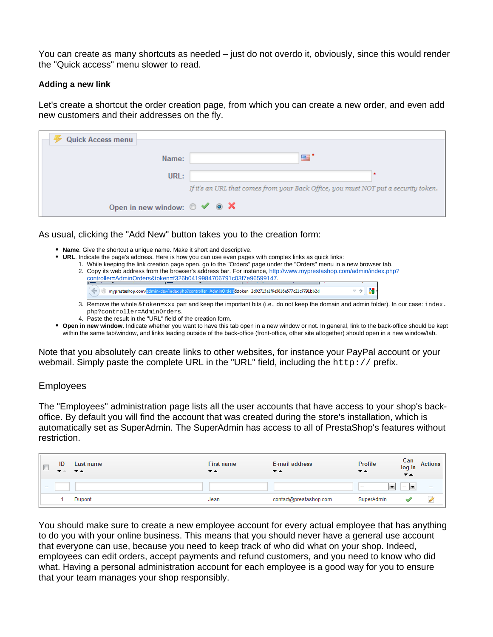You can create as many shortcuts as needed – just do not overdo it, obviously, since this would render the "Quick access" menu slower to read.

#### **Adding a new link**

Let's create a shortcut the order creation page, from which you can create a new order, and even add new customers and their addresses on the fly.

| <b>Quick Access menu</b>                                |                                                                                     |
|---------------------------------------------------------|-------------------------------------------------------------------------------------|
|                                                         |                                                                                     |
| Name:                                                   |                                                                                     |
|                                                         |                                                                                     |
| URL:                                                    |                                                                                     |
|                                                         | If it's an URL that comes from your Back Office, you must NOT put a security token. |
|                                                         |                                                                                     |
| Open in new window: $\circ \checkmark \circ \checkmark$ |                                                                                     |

As usual, clicking the "Add New" button takes you to the creation form:

- **Name**. Give the shortcut a unique name. Make it short and descriptive.
- **URL**. Indicate the page's address. Here is how you can use even pages with complex links as quick links:
	- 1. While keeping the link creation page open, go to the "Orders" page under the "Orders" menu in a new browser tab. 2. Copy its web address from the browser's address bar. For instance, [http://www.myprestashop.com/admin/index.php?](http://www.myprestashop.com/admin/index.php?controller=AdminOrders&token=f326b0419984706791c03f7e96599147) [controller=AdminOrders&token=f326b0419984706791c03f7e96599147.](http://www.myprestashop.com/admin/index.php?controller=AdminOrders&token=f326b0419984706791c03f7e96599147)

| $\left($ $\right)$ |  |  | myprestashop.com/admin-dev/index.php?controller=AdminOrders&token=2d02715a1f6e5816e577c21c7791bb2d                     |  |  |  |
|--------------------|--|--|------------------------------------------------------------------------------------------------------------------------|--|--|--|
|                    |  |  | والزامة والمساحم المستمر والمسملة ومقاربا والمستملح المناط والمستعمل والمستحدث والمستحدث والمستحدث والمحارب وبالمستحدث |  |  |  |

- 3. Remove the whole &token=xxx part and keep the important bits (i.e., do not keep the domain and admin folder). In our case: index. php?controller=AdminOrders.
- 4. Paste the result in the "URL" field of the creation form.
- **Open in new window**. Indicate whether you want to have this tab open in a new window or not. In general, link to the back-office should be kept within the same tab/window, and links leading outside of the back-office (front-office, other site altogether) should open in a new window/tab.

Note that you absolutely can create links to other websites, for instance your PayPal account or your webmail. Simply paste the complete URL in the "URL" field, including the http:// prefix.

# <span id="page-3-0"></span>Employees

The "Employees" administration page lists all the user accounts that have access to your shop's backoffice. By default you will find the account that was created during the store's installation, which is automatically set as SuperAdmin. The SuperAdmin has access to all of PrestaShop's features without restriction.

| E      | ID<br>▼△ | Last name<br>$\overline{\mathbf{v}}$ $\mathbf{A}$ | <b>First name</b><br>▼▲ | E-mail address<br>▼▲   | <b>Profile</b><br>▼▲               | Can<br>log in<br>$\overline{\phantom{a}}$ | Actions |
|--------|----------|---------------------------------------------------|-------------------------|------------------------|------------------------------------|-------------------------------------------|---------|
| $\sim$ |          |                                                   |                         |                        | $\overline{\phantom{a}}$<br>$\sim$ | $\sim$                                    | $\sim$  |
|        |          | Dupont                                            | Jean                    | contact@prestashop.com | SuperAdmin                         |                                           | ×       |

You should make sure to create a new employee account for every actual employee that has anything to do you with your online business. This means that you should never have a general use account that everyone can use, because you need to keep track of who did what on your shop. Indeed, employees can edit orders, accept payments and refund customers, and you need to know who did what. Having a personal administration account for each employee is a good way for you to ensure that your team manages your shop responsibly.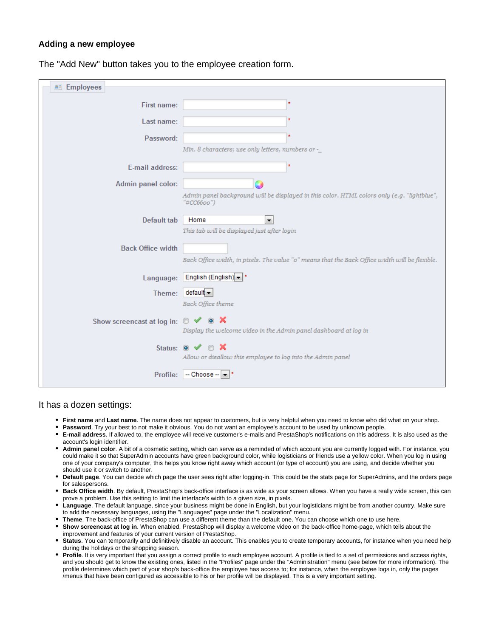#### **Adding a new employee**

| <b>图 Employees</b>                                             |                                                                                                           |
|----------------------------------------------------------------|-----------------------------------------------------------------------------------------------------------|
| First name:                                                    |                                                                                                           |
| Last name:                                                     |                                                                                                           |
| Password:                                                      |                                                                                                           |
|                                                                | Min. 8 characters; use only letters, numbers or -_                                                        |
| E-mail address:                                                |                                                                                                           |
| Admin panel color:                                             |                                                                                                           |
|                                                                | Admin panel background will be displayed in this color. HTML colors only (e.g. "lightblue",<br>"#CC66oo") |
| Default tab                                                    | Home<br>$\blacktriangledown$                                                                              |
|                                                                | This tab will be displayed just after login                                                               |
| <b>Back Office width</b>                                       |                                                                                                           |
|                                                                | Back Office width, in pixels. The value "o" means that the Back Office width will be flexible.            |
| Language:                                                      | English (English) - *                                                                                     |
|                                                                | Theme: default                                                                                            |
|                                                                | Back Office theme                                                                                         |
| Show screencast at log in: $\circ \checkmark \circ \mathsf{X}$ |                                                                                                           |
|                                                                | Display the welcome video in the Admin panel dashboard at log in                                          |
|                                                                | Status: $\circ \checkmark$ $\circ$ X                                                                      |
|                                                                | Allow or disallow this employee to log into the Admin panel                                               |
| Profile:                                                       | $-$ Choose $ \vert \mathbf{v} \vert$ <sup>*</sup>                                                         |
|                                                                |                                                                                                           |

The "Add New" button takes you to the employee creation form.

#### It has a dozen settings:

- **First name** and **Last name**. The name does not appear to customers, but is very helpful when you need to know who did what on your shop.
- **Password**. Try your best to not make it obvious. You do not want an employee's account to be used by unknown people.
- **E-mail address**. If allowed to, the employee will receive customer's e-mails and PrestaShop's notifications on this address. It is also used as the account's login identifier.
- **Admin panel color**. A bit of a cosmetic setting, which can serve as a reminded of which account you are currently logged with. For instance, you could make it so that SuperAdmin accounts have green background color, while logisticians or friends use a yellow color. When you log in using one of your company's computer, this helps you know right away which account (or type of account) you are using, and decide whether you should use it or switch to another.
- **Default page**. You can decide which page the user sees right after logging-in. This could be the stats page for SuperAdmins, and the orders page for salespersons.
- **Back Office width**. By default, PrestaShop's back-office interface is as wide as your screen allows. When you have a really wide screen, this can prove a problem. Use this setting to limit the interface's width to a given size, in pixels.
- **Language**. The default language, since your business might be done in English, but your logisticians might be from another country. Make sure to add the necessary languages, using the "Languages" page under the "Localization" menu.
- **Theme**. The back-office of PrestaShop can use a different theme than the default one. You can choose which one to use here.
- **Show screencast at log in**. When enabled, PrestaShop will display a welcome video on the back-office home-page, which tells about the improvement and features of your current version of PrestaShop.
- **Status**. You can temporarily and definitively disable an account. This enables you to create temporary accounts, for instance when you need help during the holidays or the shopping season.
- **Profile**. It is very important that you assign a correct profile to each employee account. A profile is tied to a set of permissions and access rights, and you should get to know the existing ones, listed in the "Profiles" page under the "Administration" menu (see below for more information). The profile determines which part of your shop's back-office the employee has access to; for instance, when the employee logs in, only the pages /menus that have been configured as accessible to his or her profile will be displayed. This is a very important setting.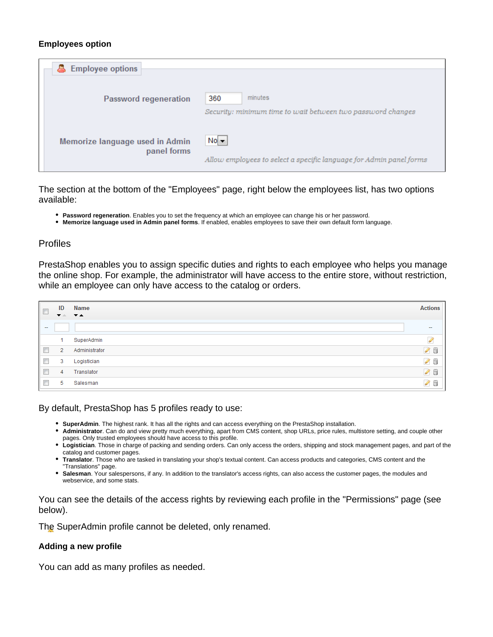#### **Employees option**

| <b>&amp;</b> Employee options   |                                                                     |
|---------------------------------|---------------------------------------------------------------------|
|                                 |                                                                     |
|                                 |                                                                     |
| Password regeneration           | minutes<br>360                                                      |
|                                 | Security: minimum time to wait between two password changes         |
|                                 |                                                                     |
|                                 |                                                                     |
| Memorize language used in Admin | $No -$                                                              |
| panel forms                     |                                                                     |
|                                 | Allow employees to select a specific language for Admin panel forms |

The section at the bottom of the "Employees" page, right below the employees list, has two options available:

- **Password regeneration**. Enables you to set the frequency at which an employee can change his or her password.
- **Memorize language used in Admin panel forms**. If enabled, enables employees to save their own default form language.

# <span id="page-5-0"></span>Profiles

PrestaShop enables you to assign specific duties and rights to each employee who helps you manage the online shop. For example, the administrator will have access to the entire store, without restriction, while an employee can only have access to the catalog or orders.

| $\Box$                    | ID<br>$\mathbf{v}$ | Name<br>$\overline{ }$ $\overline{ }$ $\overline{ }$ | <b>Actions</b> |
|---------------------------|--------------------|------------------------------------------------------|----------------|
| $\sim$                    |                    |                                                      | $\sim$         |
|                           | и                  | SuperAdmin                                           | Í              |
| $\overline{\mathbb{R}^n}$ | $\overline{2}$     | Administrator                                        | $\mathcal{S}$  |
| $\Box$                    | 3                  | Logistician                                          | $\mathscr{O}$  |
| $\Box$                    | 4                  | Translator                                           | $\mathcal{S}$  |
| $\Box$                    | 5                  | Salesman                                             | Í<br>ü         |

#### By default, PrestaShop has 5 profiles ready to use:

- **SuperAdmin**. The highest rank. It has all the rights and can access everything on the PrestaShop installation.
- **Administrator**. Can do and view pretty much everything, apart from CMS content, shop URLs, price rules, multistore setting, and couple other pages. Only trusted employees should have access to this profile.
- **Logistician**. Those in charge of packing and sending orders. Can only access the orders, shipping and stock management pages, and part of the catalog and customer pages.
- **Translator**. Those who are tasked in translating your shop's textual content. Can access products and categories, CMS content and the "Translations" page.
- **Salesman**. Your salespersons, if any. In addition to the translator's access rights, can also access the customer pages, the modules and webservice, and some stats.

You can see the details of the access rights by reviewing each profile in the "Permissions" page (see below).

The SuperAdmin profile cannot be deleted, only renamed.

# **Adding a new profile**

You can add as many profiles as needed.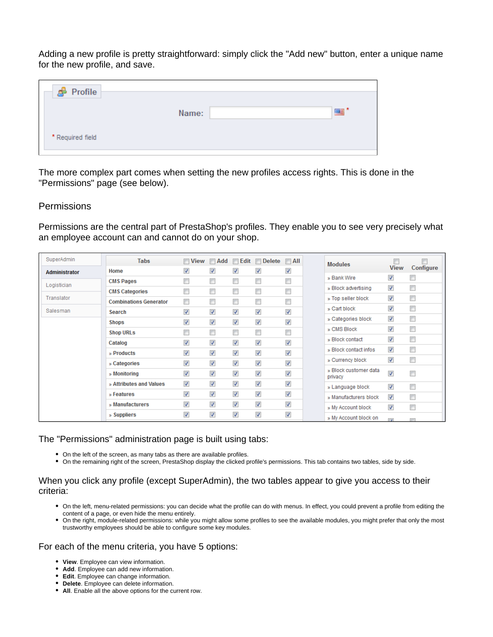Adding a new profile is pretty straightforward: simply click the "Add new" button, enter a unique name for the new profile, and save.

| Name: |  |
|-------|--|
|       |  |
|       |  |

The more complex part comes when setting the new profiles access rights. This is done in the "Permissions" page (see below).

#### <span id="page-6-0"></span>Permissions

Permissions are the central part of PrestaShop's profiles. They enable you to see very precisely what an employee account can and cannot do on your shop.

| SuperAdmin    | Tabs                          | $\blacksquare$ View      | $\Box$ Add               |                          | $\blacksquare$ Edit $\blacksquare$ Delete | $\Box$ All               | <b>Modules</b>                   |                          |                          |
|---------------|-------------------------------|--------------------------|--------------------------|--------------------------|-------------------------------------------|--------------------------|----------------------------------|--------------------------|--------------------------|
| Administrator | Home                          | $\overline{\mathbf{v}}$  | ⊽                        | $\overline{\mathcal{J}}$ | $\overline{\mathbf{v}}$                   | $\overline{\mathbf{v}}$  |                                  | <b>View</b>              | Configure                |
| Logistician   | <b>CMS Pages</b>              |                          | $\blacksquare$           | $\blacksquare$           | $\overline{\phantom{a}}$                  | $\Box$                   | » Bank Wire                      | $\overline{\mathcal{A}}$ | $\overline{\phantom{a}}$ |
|               | <b>CMS Categories</b>         |                          | $\Box$                   | $\blacksquare$           | $\overline{\phantom{a}}$                  | $\overline{\phantom{a}}$ | » Block advertising              | $\overline{\mathcal{L}}$ | $\overline{\phantom{a}}$ |
| Translator    | <b>Combinations Generator</b> | $\Box$                   | $\Box$                   | $\Box$                   | $\Box$                                    | $\Box$                   | » Top seller block               | $\overline{\mathcal{J}}$ | $\Box$                   |
| Salesman      | Search                        | ⊽                        | $\overline{\mathsf{v}}$  | $\overline{\mathcal{A}}$ | $\overline{\mathbf{v}}$                   | $\overline{\mathbf{v}}$  | » Cart block                     | $\overline{\mathcal{J}}$ | $\Box$                   |
|               | <b>Shops</b>                  | ⊽                        | $\overline{\mathcal{J}}$ | $\overline{\mathcal{A}}$ | $\overline{\mathbf{v}}$                   | $\overline{\mathcal{L}}$ | » Categories block               | $\overline{\mathbf{v}}$  | $\Box$                   |
|               | <b>Shop URLs</b>              |                          | $\Box$                   | $\Box$                   | $\Box$                                    | $\Box$                   | » CMS Block                      | $\overline{\mathbf{v}}$  | $\Box$                   |
|               | Catalog                       | ⊽                        | $\overline{\mathsf{v}}$  | $\overline{\mathcal{A}}$ | $\overline{\mathcal{L}}$                  | $\overline{\mathcal{L}}$ | » Block contact                  | $\overline{\mathcal{L}}$ | $\Box$                   |
|               | » Products                    | $\overline{\mathsf{v}}$  | $\overline{\mathcal{J}}$ | √                        | $\overline{\mathcal{L}}$                  | $\sqrt{}$                | » Block contact infos            | $\overline{\mathcal{A}}$ | $\Box$                   |
|               | » Categories                  | $\overline{\mathcal{A}}$ | $\overline{\mathcal{J}}$ | $\overline{\mathcal{J}}$ | $\overline{\mathcal{L}}$                  | $\overline{\mathcal{L}}$ | » Currency block                 | $\overline{\mathcal{L}}$ | $\Box$                   |
|               | » Monitoring                  | $\overline{\mathcal{A}}$ | $\overline{\mathcal{A}}$ | $\overline{\mathcal{A}}$ | $\overline{\mathcal{L}}$                  | $\overline{\mathcal{L}}$ | » Block customer data<br>privacy | $\overline{\mathcal{L}}$ | $\Box$                   |
|               | » Attributes and Values       | √                        | $\overline{\mathcal{L}}$ | $\overline{\mathcal{A}}$ | $\overline{\mathbf{v}}$                   | $\overline{\mathcal{L}}$ | » Language block                 | $\overline{\mathcal{F}}$ | $\Box$                   |
|               | » Features                    | $\overline{\mathcal{A}}$ | $\overline{\mathbf{v}}$  | $\overline{\mathcal{J}}$ | $\overline{\mathbf{v}}$                   | $\overline{\mathbf{v}}$  | » Manufacturers block            | $\overline{\mathcal{L}}$ | $\overline{\phantom{a}}$ |
|               | » Manufacturers               | ⊽                        | $\overline{\mathcal{J}}$ | $\overline{\mathcal{J}}$ | $\overline{\mathbf{v}}$                   | $\overline{\mathbf{v}}$  | » My Account block               | $\overline{\mathbf{v}}$  | $\Box$                   |
|               | » Suppliers                   | $\overline{\mathcal{A}}$ | $\overline{\mathcal{J}}$ | $\overline{\mathcal{J}}$ | $\overline{\mathcal{A}}$                  | $\overline{\mathsf{v}}$  | » My Account block on            | $\overline{a}$           |                          |

#### The "Permissions" administration page is built using tabs:

- On the left of the screen, as many tabs as there are available profiles.
- On the remaining right of the screen, PrestaShop display the clicked profile's permissions. This tab contains two tables, side by side.

#### When you click any profile (except SuperAdmin), the two tables appear to give you access to their criteria:

- On the left, menu-related permissions: you can decide what the profile can do with menus. In effect, you could prevent a profile from editing the content of a page, or even hide the menu entirely.
- On the right, module-related permissions: while you might allow some profiles to see the available modules, you might prefer that only the most trustworthy employees should be able to configure some key modules.

#### For each of the menu criteria, you have 5 options:

- **View**. Employee can view information.
- **Add**. Employee can add new information.
- **Edit**. Employee can change information.
- **Delete**. Employee can delete information.
- **All**. Enable all the above options for the current row.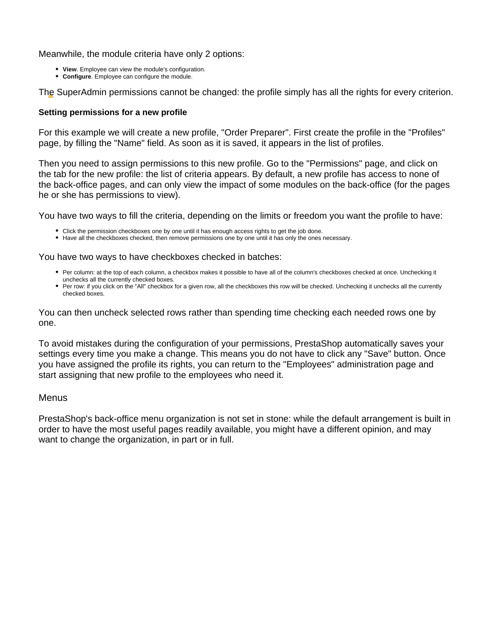Meanwhile, the module criteria have only 2 options:

- **View**. Employee can view the module's configuration.
- **Configure**. Employee can configure the module.

The SuperAdmin permissions cannot be changed: the profile simply has all the rights for every criterion.

#### **Setting permissions for a new profile**

For this example we will create a new profile, "Order Preparer". First create the profile in the "Profiles" page, by filling the "Name" field. As soon as it is saved, it appears in the list of profiles.

Then you need to assign permissions to this new profile. Go to the "Permissions" page, and click on the tab for the new profile: the list of criteria appears. By default, a new profile has access to none of the back-office pages, and can only view the impact of some modules on the back-office (for the pages he or she has permissions to view).

You have two ways to fill the criteria, depending on the limits or freedom you want the profile to have:

- Click the permission checkboxes one by one until it has enough access rights to get the job done.
- Have all the checkboxes checked, then remove permissions one by one until it has only the ones necessary.

You have two ways to have checkboxes checked in batches:

- Per column: at the top of each column, a checkbox makes it possible to have all of the column's checkboxes checked at once. Unchecking it unchecks all the currently checked boxes.
- Per row: if you click on the "All" checkbox for a given row, all the checkboxes this row will be checked. Unchecking it unchecks all the currently checked boxes.

You can then uncheck selected rows rather than spending time checking each needed rows one by one.

To avoid mistakes during the configuration of your permissions, PrestaShop automatically saves your settings every time you make a change. This means you do not have to click any "Save" button. Once you have assigned the profile its rights, you can return to the "Employees" administration page and start assigning that new profile to the employees who need it.

# <span id="page-7-0"></span>Menus

PrestaShop's back-office menu organization is not set in stone: while the default arrangement is built in order to have the most useful pages readily available, you might have a different opinion, and may want to change the organization, in part or in full.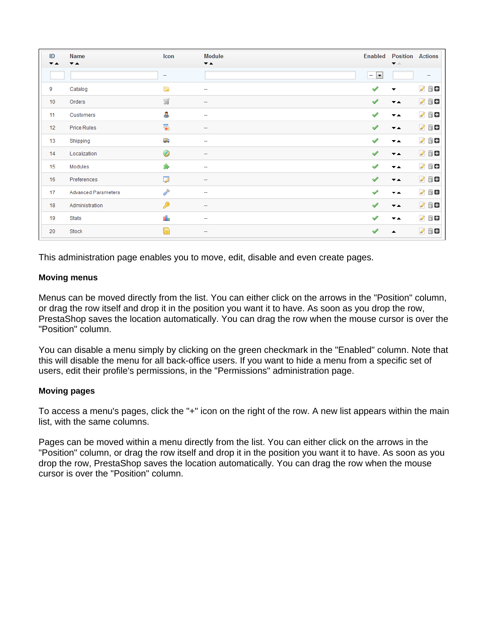| ID<br>$\overline{\phantom{a}}$ | <b>Name</b><br>$\overline{\phantom{a}}$ | Icon                     | <b>Module</b><br>$\overline{\phantom{a}}$ | Enabled                       | <b>Position Actions</b><br>$\blacktriangledown$ $\triangle$ |                          |
|--------------------------------|-----------------------------------------|--------------------------|-------------------------------------------|-------------------------------|-------------------------------------------------------------|--------------------------|
|                                |                                         | $\overline{\phantom{a}}$ |                                           | $\overline{\phantom{a}}$<br>÷ |                                                             | $\overline{\phantom{a}}$ |
| 9                              | Catalog                                 | È                        | -                                         | ✔                             | ▼                                                           | 0 8 8                    |
| 10                             | Orders                                  | S                        | ۰                                         | ✔                             | $\overline{\phantom{a}}$                                    | 0 8 8                    |
| 11                             | Customers                               | å,                       | -                                         | ৶                             | $\overline{\phantom{a}}$                                    | 0 8 8                    |
| 12                             | <b>Price Rules</b>                      | $\overline{\bullet}$     | -                                         | ✔                             | $\overline{\phantom{a}}$                                    | 0 8 8                    |
| 13                             | Shipping                                | U)                       | ۰                                         | ৶                             | $\overline{\phantom{a}}$                                    | 088                      |
| 14                             | Localization                            | Ø                        | -                                         | ✔                             | $\overline{\phantom{a}}$                                    | 0 8 8                    |
| 15                             | Modules                                 | ÷,                       | ÷                                         | ৶                             | $\overline{\phantom{a}}$                                    | 0 8 8                    |
| 16                             | Preferences                             | 7                        | -                                         | ✔                             | $\overline{\phantom{a}}$                                    | 2 8 8                    |
| 17                             | <b>Advanced Parameters</b>              | P                        | -                                         | ৶                             | $\overline{\phantom{a}}$                                    | 0 8 8                    |
| 18                             | Administration                          | ₽                        | -                                         | ✔                             | $\overline{\phantom{a}}$                                    | 0 8 8                    |
| 19                             | <b>Stats</b>                            | ol.                      | -                                         | S                             | $\overline{\phantom{a}}$                                    | 0 8 8                    |
| 20                             | Stock                                   | n                        | -                                         | ৶                             | $\blacktriangle$                                            | 2 8 8                    |

This administration page enables you to move, edit, disable and even create pages.

# **Moving menus**

Menus can be moved directly from the list. You can either click on the arrows in the "Position" column, or drag the row itself and drop it in the position you want it to have. As soon as you drop the row, PrestaShop saves the location automatically. You can drag the row when the mouse cursor is over the "Position" column.

You can disable a menu simply by clicking on the green checkmark in the "Enabled" column. Note that this will disable the menu for all back-office users. If you want to hide a menu from a specific set of users, edit their profile's permissions, in the "Permissions" administration page.

# **Moving pages**

To access a menu's pages, click the "+" icon on the right of the row. A new list appears within the main list, with the same columns.

Pages can be moved within a menu directly from the list. You can either click on the arrows in the "Position" column, or drag the row itself and drop it in the position you want it to have. As soon as you drop the row, PrestaShop saves the location automatically. You can drag the row when the mouse cursor is over the "Position" column.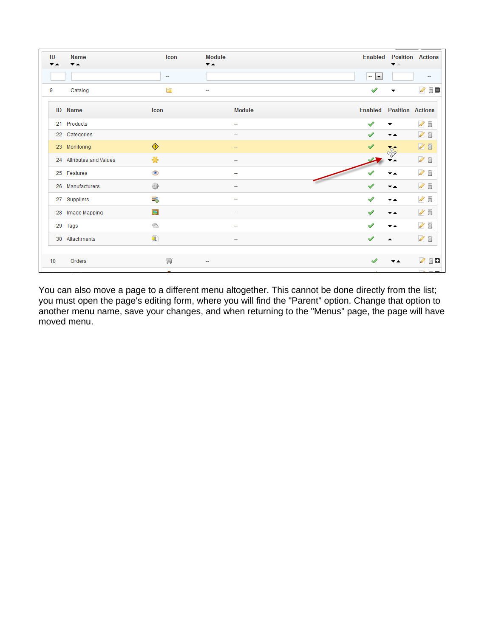| ID | <b>Name</b><br>▼▲        | Icon             | <b>Module</b><br>$\overline{\phantom{a}}$ | <b>Enabled Position Actions</b><br>▼△                |
|----|--------------------------|------------------|-------------------------------------------|------------------------------------------------------|
|    |                          | ÷                |                                           | $\overline{\phantom{a}}$<br>$\overline{\phantom{a}}$ |
| 9  | Catalog                  | E                | $\overline{\phantom{a}}$                  | 0 8 €<br>-                                           |
|    | <b>ID</b> Name           | Icon             | <b>Module</b>                             | <b>Enabled Position Actions</b>                      |
|    | 21 Products              |                  | $\overline{\phantom{a}}$                  | $\mathscr{O}$ 0<br>৶<br>▼                            |
|    | 22 Categories            |                  | $\overline{\phantom{a}}$                  | $\mathcal{L}$<br>$\overline{\phantom{a}}$            |
|    | 23 Monitoring            | ♦                | $\overline{\phantom{a}}$                  | 05<br>家                                              |
|    | 24 Attributes and Values | ₩                | ÷                                         | 0<br>▼▲                                              |
|    | 25 Features              | $\bullet$        | --                                        | $\mathscr{D}$ 0<br>▼▲                                |
|    | 26 Manufacturers         | ₩                | -                                         | $\sqrt{2}$<br>▼▲                                     |
|    | 27 Suppliers             | -3               | ÷                                         | 00<br>▼▲                                             |
|    | 28 Image Mapping         | $\sum_{i=1}^{n}$ | $\overline{\phantom{a}}$                  | $\mathcal{S}$<br>▾▴                                  |
|    | 29 Tags                  | Ĝ                | ÷                                         | $\mathscr{O}$ 0<br>$\overline{\phantom{a}}$          |
|    | 30 Attachments           | 甸                | $\overline{\phantom{a}}$                  | 00<br>ᇫ                                              |
| 10 | Orders                   | ¥                |                                           | 0 80                                                 |
|    |                          |                  |                                           | <b>District</b>                                      |

You can also move a page to a different menu altogether. This cannot be done directly from the list; you must open the page's editing form, where you will find the "Parent" option. Change that option to another menu name, save your changes, and when returning to the "Menus" page, the page will have moved menu.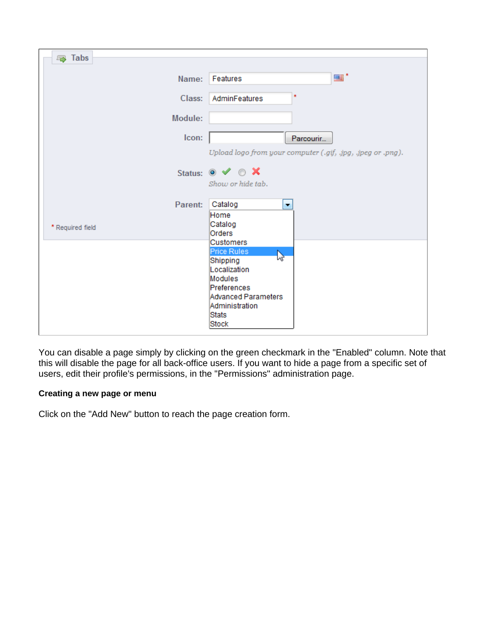| <b>国</b> Tabs    |                                                             |
|------------------|-------------------------------------------------------------|
|                  |                                                             |
| Name:            | - ™≣<br>Features                                            |
| Class:           | ×.<br>AdminFeatures                                         |
| Module:          |                                                             |
| Icon:            | Parcourir                                                   |
|                  | Upload logo from your computer (.gif, .jpg, .jpeg or .png). |
|                  | Status: $\circ \vee \circ \times$                           |
|                  | Show or hide tab.                                           |
| Parent:          | Catalog<br>٠                                                |
| * Required field | Home<br>Catalog                                             |
|                  | Orders                                                      |
|                  | Customers                                                   |
|                  | Price Rules<br>ピ<br>Shipping                                |
|                  | Localization                                                |
|                  | Modules                                                     |
|                  | Preferences                                                 |
|                  | Advanced Parameters                                         |
|                  | Administration                                              |
|                  | Stats<br><b>Stock</b>                                       |
|                  |                                                             |

You can disable a page simply by clicking on the green checkmark in the "Enabled" column. Note that this will disable the page for all back-office users. If you want to hide a page from a specific set of users, edit their profile's permissions, in the "Permissions" administration page.

# **Creating a new page or menu**

Click on the "Add New" button to reach the page creation form.